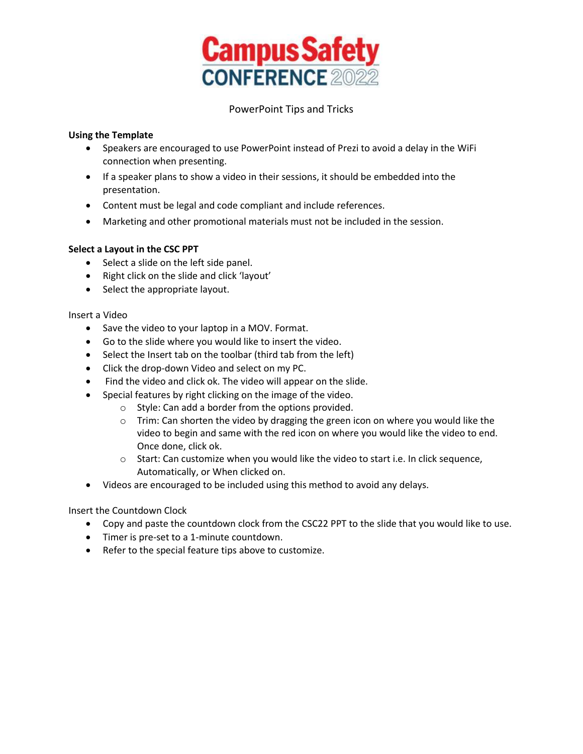

# PowerPoint Tips and Tricks

#### **Using the Template**

- Speakers are encouraged to use PowerPoint instead of Prezi to avoid a delay in the WiFi connection when presenting.
- If a speaker plans to show a video in their sessions, it should be embedded into the presentation.
- Content must be legal and code compliant and include references.
- Marketing and other promotional materials must not be included in the session.

## **Select a Layout in the CSC PPT**

- Select a slide on the left side panel.
- Right click on the slide and click 'layout'
- Select the appropriate layout.

#### Insert a Video

- Save the video to your laptop in a MOV. Format.
- Go to the slide where you would like to insert the video.
- Select the Insert tab on the toolbar (third tab from the left)
- Click the drop-down Video and select on my PC.
- Find the video and click ok. The video will appear on the slide.
- Special features by right clicking on the image of the video.
	- o Style: Can add a border from the options provided.
	- $\circ$  Trim: Can shorten the video by dragging the green icon on where you would like the video to begin and same with the red icon on where you would like the video to end. Once done, click ok.
	- $\circ$  Start: Can customize when you would like the video to start i.e. In click sequence, Automatically, or When clicked on.
- Videos are encouraged to be included using this method to avoid any delays.

#### Insert the Countdown Clock

- Copy and paste the countdown clock from the CSC22 PPT to the slide that you would like to use.
- Timer is pre-set to a 1-minute countdown.
- Refer to the special feature tips above to customize.